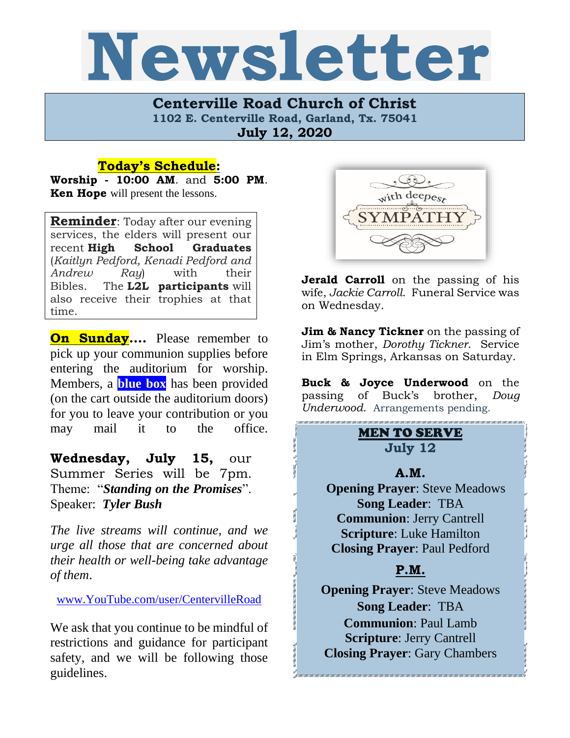# Newsletter

**Centerville Road Church of Christ 1102 E. Centerville Road, Garland, Tx. 75041 July 12, 2020**

#### **Today's Schedule:**

**Worship - 10:00 AM**. and **5:00 PM**. **Ken Hope** will present the lessons.

**Reminder**: Today after our evening services, the elders will present our recent **High School Graduates**  (*Kaitlyn Pedford, Kenadi Pedford and Andrew Ray*) with their Bibles. The **L2L participants** will also receive their trophies at that time.

**On Sunday....** Please remember to pick up your communion supplies before entering the auditorium for worship. Members, a **blue box** has been provided (on the cart outside the auditorium doors) for you to leave your contribution or you may mail it to the office.

**Wednesday, July 15,** our Summer Series will be 7pm. Theme: "*Standing on the Promises*". Speaker: *Tyler Bush*

*The live streams will continue, and we urge all those that are concerned about their health or well-being take advantage of them*.

[www.YouTube.com/user/CentervilleRoad](http://www.youtube.com/user/CentervilleRoad)

We ask that you continue to be mindful of restrictions and guidance for participant safety, and we will be following those guidelines.



**Jerald Carroll** on the passing of his wife, *Jackie Carroll*. Funeral Service was on Wednesday.

**Jim & Nancy Tickner** on the passing of Jim's mother, *Dorothy Tickner*. Service in Elm Springs, Arkansas on Saturday.

**Buck & Joyce Underwood** on the passing of Buck's brother, *Doug Underwood.* Arrangements pending.

## MEN TO SERVE **July 12**

#### **A.M.**

 **Opening Prayer**: Steve Meadows **Song Leader**: TBA **Communion**: Jerry Cantrell **Scripture**: Luke Hamilton **Closing Prayer**: Paul Pedford

# **P.M.**

**Opening Prayer**: Steve Meadows **Song Leader**: TBA **Communion**: Paul Lamb **Scripture**: Jerry Cantrell **Closing Prayer**: Gary Chambers